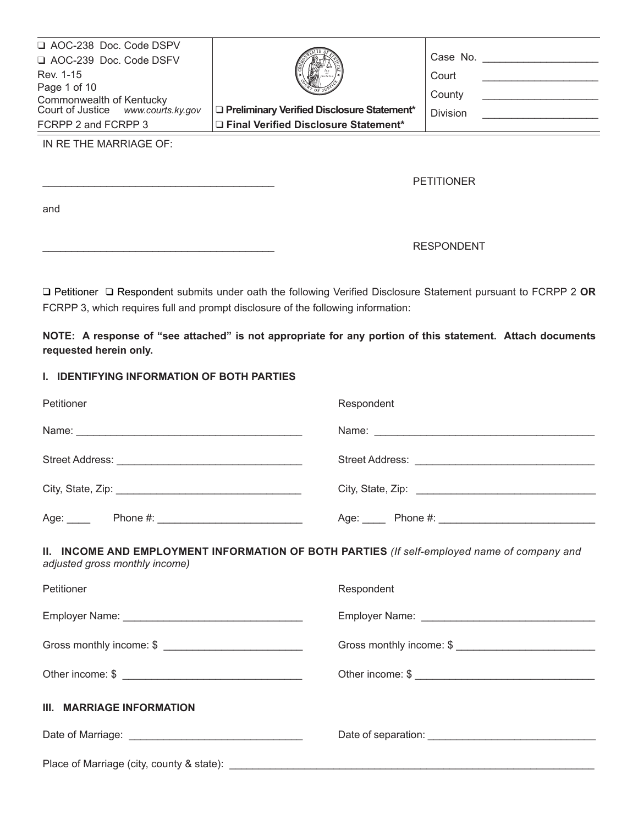| AOC-238 Doc. Code DSPV<br>AOC-239 Doc. Code DSFV<br>Rev. 1-15<br>Page 1 of 10<br>Commonwealth of Kentucky<br>Court of Justice www.courts.ky.gov<br>FCRPP 2 and FCRPP 3 | Preliminary Verified Disclosure Statement*<br>□ Final Verified Disclosure Statement* | Case No.<br>Court<br>County<br><b>Division</b> |
|------------------------------------------------------------------------------------------------------------------------------------------------------------------------|--------------------------------------------------------------------------------------|------------------------------------------------|
| IN RE THE MARRIAGE OF:                                                                                                                                                 |                                                                                      | <b>PETITIONER</b>                              |

and

# \_\_\_\_\_\_\_\_\_\_\_\_\_\_\_\_\_\_\_\_\_\_\_\_\_\_\_\_\_\_\_\_\_\_\_\_\_\_\_\_ RESPONDENT

q Petitioner q Respondent submits under oath the following Verified Disclosure Statement pursuant to FCRPP 2 **OR** FCRPP 3, which requires full and prompt disclosure of the following information:

**NOTE: A response of "see attached" is not appropriate for any portion of this statement. Attach documents requested herein only.**

#### **I. IDENTIFYING INFORMATION OF BOTH PARTIES**

| Petitioner                                                                                                                    | Respondent               |
|-------------------------------------------------------------------------------------------------------------------------------|--------------------------|
|                                                                                                                               |                          |
|                                                                                                                               |                          |
|                                                                                                                               |                          |
|                                                                                                                               |                          |
| II. INCOME AND EMPLOYMENT INFORMATION OF BOTH PARTIES (If self-employed name of company and<br>adjusted gross monthly income) |                          |
| Petitioner                                                                                                                    | Respondent               |
|                                                                                                                               |                          |
| Gross monthly income: \$                                                                                                      | Gross monthly income: \$ |
|                                                                                                                               |                          |
| III. MARRIAGE INFORMATION                                                                                                     |                          |
|                                                                                                                               |                          |
| Place of Marriage (city, county & state): _____________                                                                       |                          |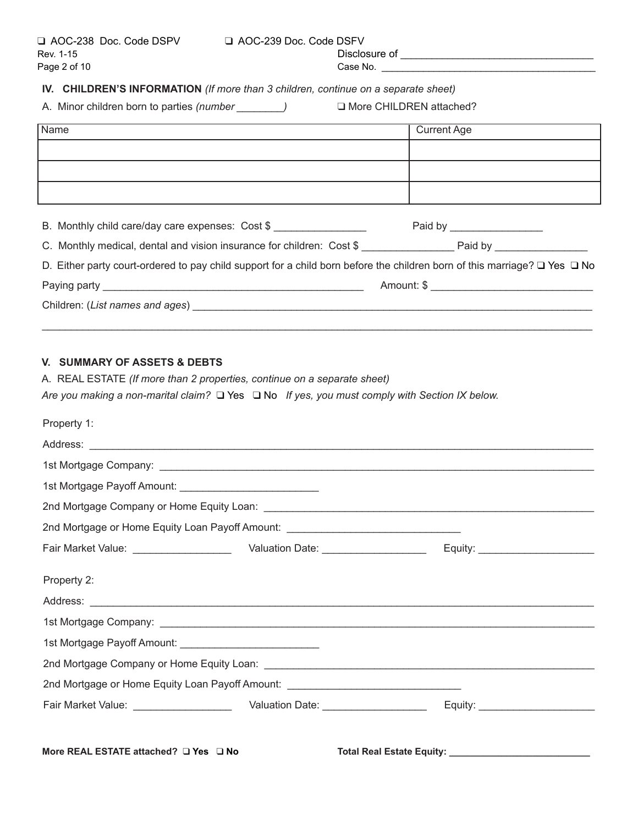# **IV. CHILDREN'S INFORMATION** *(If more than 3 children, continue on a separate sheet)*

A. Minor children born to parties (number \_\_\_\_\_\_\_\_) and More CHILDREN attached?

| Name                                                                                                                                | <b>Current Age</b>            |
|-------------------------------------------------------------------------------------------------------------------------------------|-------------------------------|
|                                                                                                                                     |                               |
|                                                                                                                                     |                               |
|                                                                                                                                     |                               |
| B. Monthly child care/day care expenses: Cost \$                                                                                    | Paid by _____________________ |
|                                                                                                                                     |                               |
| D. Either party court-ordered to pay child support for a child born before the children born of this marriage? $\Box$ Yes $\Box$ No |                               |
|                                                                                                                                     |                               |
|                                                                                                                                     |                               |
|                                                                                                                                     |                               |
|                                                                                                                                     |                               |
| V. SUMMARY OF ASSETS & DEBTS                                                                                                        |                               |
| A. REAL ESTATE (If more than 2 properties, continue on a separate sheet)                                                            |                               |
| Are you making a non-marital claim? $\Box$ Yes $\Box$ No If yes, you must comply with Section IX below.                             |                               |
| Property 1:                                                                                                                         |                               |

| 1st Mortgage Payoff Amount: _____________________________ |                                                                                  |  |
|-----------------------------------------------------------|----------------------------------------------------------------------------------|--|
|                                                           |                                                                                  |  |
|                                                           | 2nd Mortgage or Home Equity Loan Payoff Amount: ________________________________ |  |
|                                                           |                                                                                  |  |
| Property 2:                                               |                                                                                  |  |
|                                                           |                                                                                  |  |
|                                                           |                                                                                  |  |
| 1st Mortgage Payoff Amount: _____________________________ |                                                                                  |  |
|                                                           |                                                                                  |  |
|                                                           | 2nd Mortgage or Home Equity Loan Payoff Amount: ________________________________ |  |
|                                                           |                                                                                  |  |
|                                                           |                                                                                  |  |

**More REAL ESTATE attached?** q **Yes** q **No Total Real Estate Equity: \_\_\_\_\_\_\_\_\_\_\_\_\_\_\_\_\_\_\_\_\_\_\_\_\_\_\_**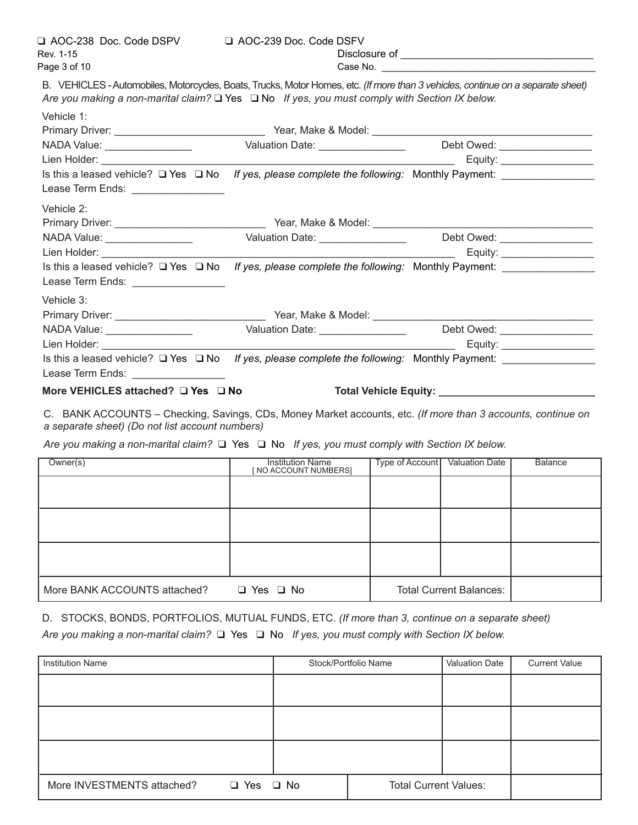Vehicle 1:

B. VEHICLES - Automobiles, Motorcycles, Boats, Trucks, Motor Homes, etc. *(If more than 3 vehicles, continue on a separate sheet) Are you making a non-marital claim?* q Yes q No *If yes, you must comply with Section IX below.*

| venicle 1:                                                                                                                                                                                                                     |                                                                                  |                                      |
|--------------------------------------------------------------------------------------------------------------------------------------------------------------------------------------------------------------------------------|----------------------------------------------------------------------------------|--------------------------------------|
|                                                                                                                                                                                                                                |                                                                                  |                                      |
| NADA Value: _________________                                                                                                                                                                                                  | Valuation Date: _________________                                                | Debt Owed: _________________         |
| Lien Holder: University of the Manuscript of the Manuscript of the Manuscript of the Manuscript of the Manuscript of the Manuscript of the Manuscript of the Manuscript of the Manuscript of the Manuscript of the Manuscript  |                                                                                  |                                      |
| Is this a leased vehicle? $\Box$ Yes $\Box$ No                                                                                                                                                                                 | If yes, please complete the following: Monthly Payment:                          |                                      |
| Lease Term Ends: _________________                                                                                                                                                                                             |                                                                                  |                                      |
| Vehicle 2:                                                                                                                                                                                                                     |                                                                                  |                                      |
|                                                                                                                                                                                                                                |                                                                                  |                                      |
|                                                                                                                                                                                                                                | Valuation Date: __________________                                               | Debt Owed: ___________________       |
| Lien Holder: The Commission of the Commission of the Commission of the Commission of the Commission of the Commission of the Commission of the Commission of the Commission of the Commission of the Commission of the Commiss |                                                                                  |                                      |
| Is this a leased vehicle? $\square$ Yes $\square$ No If yes, please complete the following: Monthly Payment:                                                                                                                   |                                                                                  |                                      |
| Lease Term Ends: _________________                                                                                                                                                                                             |                                                                                  |                                      |
| Vehicle 3:                                                                                                                                                                                                                     |                                                                                  |                                      |
|                                                                                                                                                                                                                                |                                                                                  |                                      |
| NADA Value: _________________                                                                                                                                                                                                  | Valuation Date: Valuation Date:                                                  | Debt Owed: __________________        |
| Lien Holder: North States and States                                                                                                                                                                                           |                                                                                  |                                      |
| Is this a leased vehicle? $\Box$ Yes $\Box$ No                                                                                                                                                                                 | If yes, please complete the following: Monthly Payment: ________________________ |                                      |
| Lease Term Ends: _________________                                                                                                                                                                                             |                                                                                  |                                      |
| More VEHICLES attached? □ Yes □ No                                                                                                                                                                                             |                                                                                  | Total Vehicle Equity: ______________ |

C. BANK ACCOUNTS – Checking, Savings, CDs, Money Market accounts, etc. *(If more than 3 accounts, continue on a separate sheet) (Do not list account numbers)*

Are you making a non-marital claim?  $\Box$  Yes  $\Box$  No *If yes, you must comply with Section IX below.* 

| Owner(s)                     | <b>Institution Name</b><br>NO ACCOUNT NUMBERS] | Type of Account | <b>Valuation Date</b>          | <b>Balance</b> |
|------------------------------|------------------------------------------------|-----------------|--------------------------------|----------------|
|                              |                                                |                 |                                |                |
|                              |                                                |                 |                                |                |
|                              |                                                |                 |                                |                |
| More BANK ACCOUNTS attached? | Yes $\Box$ No<br>$\Box$                        |                 | <b>Total Current Balances:</b> |                |

D. STOCKS, BONDS, PORTFOLIOS, MUTUAL FUNDS, ETC. *(If more than 3, continue on a separate sheet) Are you making a non-marital claim?* q Yes q No *If yes, you must comply with Section IX below.*

| <b>Institution Name</b>                     |           | Stock/Portfolio Name         | <b>Valuation Date</b> | <b>Current Value</b> |
|---------------------------------------------|-----------|------------------------------|-----------------------|----------------------|
|                                             |           |                              |                       |                      |
|                                             |           |                              |                       |                      |
|                                             |           |                              |                       |                      |
|                                             |           |                              |                       |                      |
|                                             |           |                              |                       |                      |
| More INVESTMENTS attached?<br>$\square$ Yes | $\Box$ No | <b>Total Current Values:</b> |                       |                      |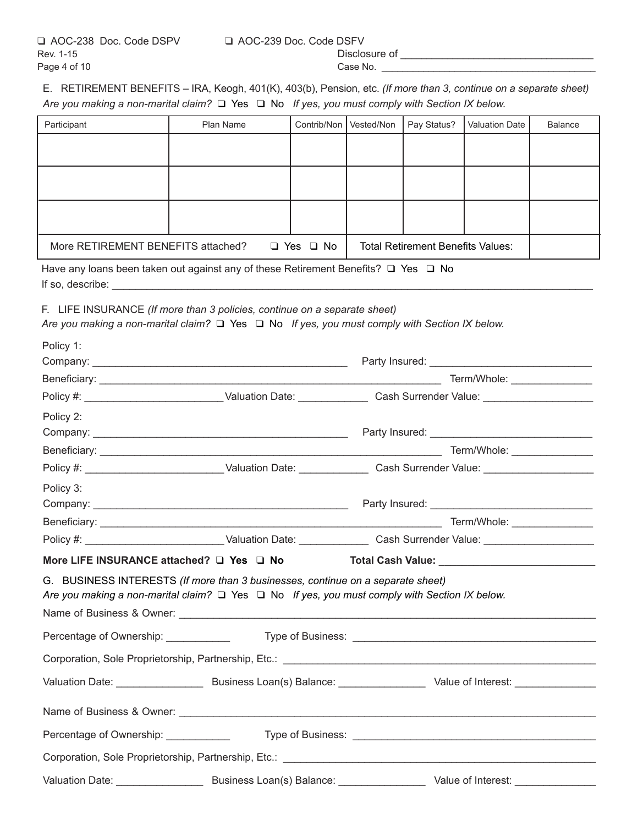E. RETIREMENT BENEFITS – IRA, Keogh, 401(K), 403(b), Pension, etc. *(If more than 3, continue on a separate sheet) Are you making a non-marital claim?* q Yes q No *If yes, you must comply with Section IX below.*

| Participant                        | Plan Name | Contrib/Non          | Vested/Non | Pay Status?                              | <b>Valuation Date</b> | <b>Balance</b> |
|------------------------------------|-----------|----------------------|------------|------------------------------------------|-----------------------|----------------|
|                                    |           |                      |            |                                          |                       |                |
|                                    |           |                      |            |                                          |                       |                |
|                                    |           |                      |            |                                          |                       |                |
|                                    |           |                      |            |                                          |                       |                |
|                                    |           |                      |            |                                          |                       |                |
|                                    |           |                      |            |                                          |                       |                |
|                                    |           |                      |            |                                          |                       |                |
| More RETIREMENT BENEFITS attached? |           | $\Box$ Yes $\Box$ No |            | <b>Total Retirement Benefits Values:</b> |                       |                |

Have any loans been taken out against any of these Retirement Benefits?  $\Box$  Yes  $\Box$  No If so, describe:  $\overline{\phantom{a}}$ 

F. LIFE INSURANCE *(If more than 3 policies, continue on a separate sheet)*

*Are you making a non-marital claim?* q Yes q No *If yes, you must comply with Section IX below.*

| Policy 1:                                                                       |                                                                                                                |  |
|---------------------------------------------------------------------------------|----------------------------------------------------------------------------------------------------------------|--|
|                                                                                 |                                                                                                                |  |
|                                                                                 |                                                                                                                |  |
|                                                                                 | Policy #: ___________________________Valuation Date: _______________Cash Surrender Value: ____________________ |  |
| Policy 2:                                                                       |                                                                                                                |  |
|                                                                                 |                                                                                                                |  |
|                                                                                 |                                                                                                                |  |
|                                                                                 | Policy #: ___________________________Valuation Date: _______________Cash Surrender Value: ____________________ |  |
| Policy 3:                                                                       |                                                                                                                |  |
|                                                                                 |                                                                                                                |  |
|                                                                                 |                                                                                                                |  |
|                                                                                 | Policy #: ____________________________Valuation Date: _______________Cash Surrender Value: ___________________ |  |
|                                                                                 | More LIFE INSURANCE attached? □ Yes □ No Total Cash Value: ______________________                              |  |
| G. BUSINESS INTERESTS (If more than 3 businesses, continue on a separate sheet) | Are you making a non-marital claim? $\Box$ Yes $\Box$ No If yes, you must comply with Section IX below.        |  |
|                                                                                 |                                                                                                                |  |
|                                                                                 |                                                                                                                |  |
|                                                                                 |                                                                                                                |  |
|                                                                                 |                                                                                                                |  |
|                                                                                 |                                                                                                                |  |
|                                                                                 |                                                                                                                |  |
|                                                                                 |                                                                                                                |  |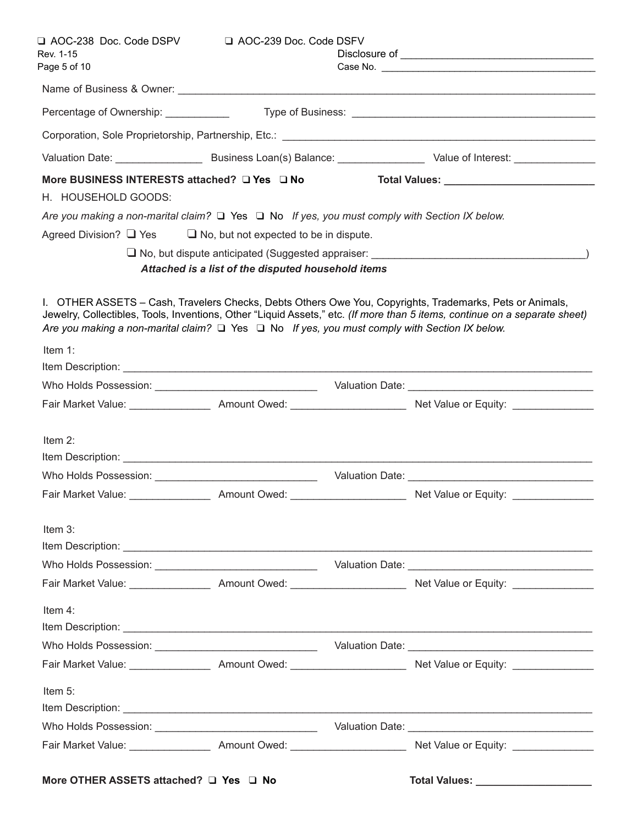| Rev. 1-15<br>Page 5 of 10                                                                               |                                                       |                                                                                                                                                                                                                                        |
|---------------------------------------------------------------------------------------------------------|-------------------------------------------------------|----------------------------------------------------------------------------------------------------------------------------------------------------------------------------------------------------------------------------------------|
|                                                                                                         |                                                       |                                                                                                                                                                                                                                        |
| Percentage of Ownership: ____________                                                                   |                                                       |                                                                                                                                                                                                                                        |
|                                                                                                         |                                                       |                                                                                                                                                                                                                                        |
|                                                                                                         |                                                       | Valuation Date: ___________________________________Business Loan(s) Balance: _________________________________ Value of Interest: _____________________                                                                                |
| More BUSINESS INTERESTS attached? □ Yes □ No                                                            |                                                       |                                                                                                                                                                                                                                        |
| H. HOUSEHOLD GOODS:                                                                                     |                                                       |                                                                                                                                                                                                                                        |
| Are you making a non-marital claim? $\Box$ Yes $\Box$ No If yes, you must comply with Section IX below. |                                                       |                                                                                                                                                                                                                                        |
| Agreed Division? $\Box$ Yes                                                                             | $\Box$ No, but not expected to be in dispute.         |                                                                                                                                                                                                                                        |
|                                                                                                         |                                                       |                                                                                                                                                                                                                                        |
|                                                                                                         | Attached is a list of the disputed household items    |                                                                                                                                                                                                                                        |
| Are you making a non-marital claim? $\Box$ Yes $\Box$ No If yes, you must comply with Section IX below. |                                                       | I. OTHER ASSETS - Cash, Travelers Checks, Debts Others Owe You, Copyrights, Trademarks, Pets or Animals,<br>Jewelry, Collectibles, Tools, Inventions, Other "Liquid Assets," etc. (If more than 5 items, continue on a separate sheet) |
| Item 1:                                                                                                 |                                                       |                                                                                                                                                                                                                                        |
|                                                                                                         |                                                       |                                                                                                                                                                                                                                        |
|                                                                                                         |                                                       | Fair Market Value: ____________________ Amount Owed: ____________________________ Net Value or Equity: _____________________                                                                                                           |
| Item $2$ :                                                                                              |                                                       |                                                                                                                                                                                                                                        |
|                                                                                                         |                                                       |                                                                                                                                                                                                                                        |
| Fair Market Value:                                                                                      | ______________________ Amount Owed: _________________ | Net Value or Equity:                                                                                                                                                                                                                   |
| Item 3:                                                                                                 |                                                       |                                                                                                                                                                                                                                        |
|                                                                                                         |                                                       |                                                                                                                                                                                                                                        |
|                                                                                                         |                                                       |                                                                                                                                                                                                                                        |
| Item 4:                                                                                                 |                                                       |                                                                                                                                                                                                                                        |
|                                                                                                         |                                                       |                                                                                                                                                                                                                                        |
|                                                                                                         |                                                       |                                                                                                                                                                                                                                        |
| Item 5:                                                                                                 |                                                       |                                                                                                                                                                                                                                        |
|                                                                                                         |                                                       |                                                                                                                                                                                                                                        |
|                                                                                                         |                                                       |                                                                                                                                                                                                                                        |
|                                                                                                         |                                                       |                                                                                                                                                                                                                                        |
| More OTHER ASSETS attached? $\Box$ Yes $\Box$ No                                                        |                                                       |                                                                                                                                                                                                                                        |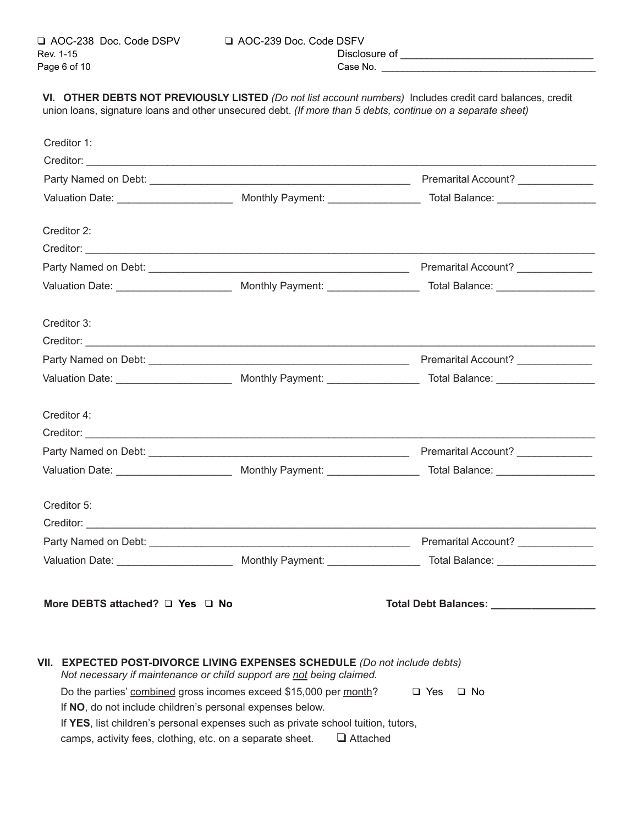| $\Box$ AOC-239 Doc. Code DSFV |               |
|-------------------------------|---------------|
|                               | Disclosure of |
|                               |               |

**VI. OTHER DEBTS NOT PREVIOUSLY LISTED** *(Do not list account numbers)* Includes credit card balances, credit union loans, signature loans and other unsecured debt. *(If more than 5 debts, continue on a separate sheet)*

| Creditor 1:                     |                                                                            |                            |
|---------------------------------|----------------------------------------------------------------------------|----------------------------|
|                                 |                                                                            |                            |
|                                 |                                                                            |                            |
|                                 |                                                                            |                            |
|                                 |                                                                            |                            |
| Creditor 2:                     |                                                                            |                            |
|                                 |                                                                            |                            |
|                                 |                                                                            |                            |
|                                 |                                                                            |                            |
| Creditor 3:                     |                                                                            |                            |
|                                 |                                                                            |                            |
|                                 |                                                                            |                            |
|                                 |                                                                            |                            |
|                                 |                                                                            |                            |
| Creditor 4:                     |                                                                            |                            |
|                                 |                                                                            |                            |
|                                 |                                                                            |                            |
|                                 |                                                                            |                            |
| Creditor 5:                     |                                                                            |                            |
|                                 |                                                                            |                            |
|                                 |                                                                            |                            |
|                                 |                                                                            |                            |
|                                 |                                                                            |                            |
| More DEBTS attached? Q Yes Q No |                                                                            | Total Debt Balances: _____ |
|                                 |                                                                            |                            |
|                                 | VII. EXPECTED POST-DIVORCE LIVING EXPENSES SCHEDULE (Do not include debts) |                            |
|                                 | Not necessary if maintenance or child support are not being claimed.       |                            |
|                                 | Do the parties' combined gross incomes exceed \$15,000 per month?          | $\Box$ Yes<br>$\Box$ No    |

If **NO**, do not include children's personal expenses below.

If **YES**, list children's personal expenses such as private school tuition, tutors,

camps, activity fees, clothing, etc. on a separate sheet.  $\Box$  Attached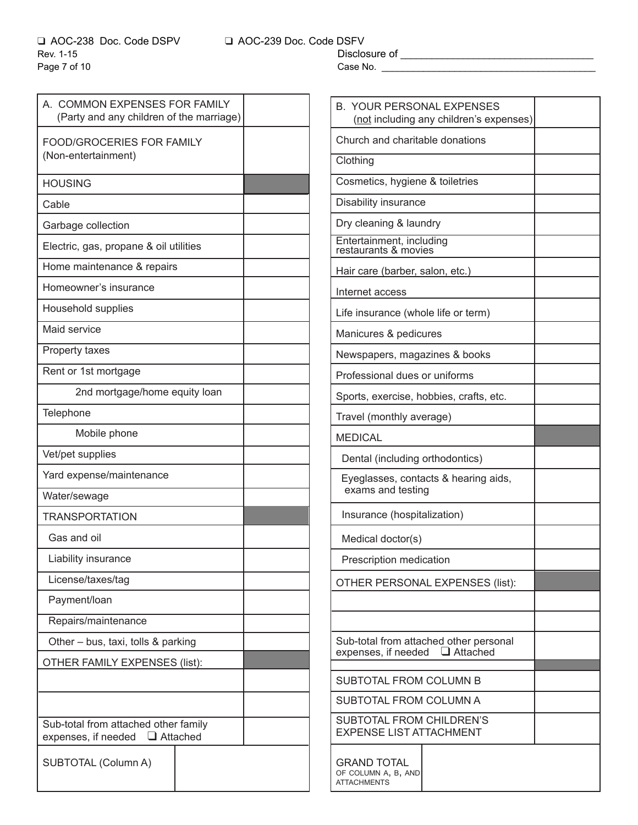A. COMMON EXPENSES FOR FAMILY (Party and any children of the marriage) FOOD/GROCERIES FOR FAMILY (Non-entertainment) HOUSING Cable Garbage collection Electric, gas, propane & oil utilities Home maintenance & repairs Homeowner's insurance Household supplies Maid service Property taxes Rent or 1st mortgage 2nd mortgage/home equity loan **Telephone** Mobile phone Vet/pet supplies Yard expense/maintenance Water/sewage **TRANSPORTATION**  Gas and oil Liability insurance License/taxes/tag Payment/loan Repairs/maintenance Other – bus, taxi, tolls & parking OTHER FAMILY EXPENSES (list): Sub-total from attached other family expenses, if needed  $\Box$  Attached SUBTOTAL (Column A)

q AOC-238 Doc. Code DSPV q AOC-239 Doc. Code DSFV

| <b>B. YOUR PERSONAL EXPENSES</b><br>(not including any children's expenses) |  |  |
|-----------------------------------------------------------------------------|--|--|
| Church and charitable donations                                             |  |  |
| Clothing                                                                    |  |  |
| Cosmetics, hygiene & toiletries                                             |  |  |
| Disability insurance                                                        |  |  |
| Dry cleaning & laundry                                                      |  |  |
| Entertainment, including<br>restaurants & movies                            |  |  |
| Hair care (barber, salon, etc.)                                             |  |  |
| Internet access                                                             |  |  |
| Life insurance (whole life or term)                                         |  |  |
| Manicures & pedicures                                                       |  |  |
| Newspapers, magazines & books                                               |  |  |
| Professional dues or uniforms                                               |  |  |
| Sports, exercise, hobbies, crafts, etc.                                     |  |  |
| Travel (monthly average)                                                    |  |  |
| <b>MEDICAL</b>                                                              |  |  |
| Dental (including orthodontics)                                             |  |  |
| Eyeglasses, contacts & hearing aids,<br>exams and testing                   |  |  |
| Insurance (hospitalization)                                                 |  |  |
| Medical doctor(s)                                                           |  |  |
| Prescription medication                                                     |  |  |
| OTHER PERSONAL EXPENSES (list):                                             |  |  |
|                                                                             |  |  |
|                                                                             |  |  |
| Sub-total from attached other personal<br>expenses, if needed □ Attached    |  |  |
| <b>SUBTOTAL FROM COLUMN B</b>                                               |  |  |
| SUBTOTAL FROM COLUMN A                                                      |  |  |
| SUBTOTAL FROM CHILDREN'S<br><b>EXPENSE LIST ATTACHMENT</b>                  |  |  |
| <b>GRAND TOTAL</b><br>OF COLUMN A, B, AND<br><b>ATTACHMENTS</b>             |  |  |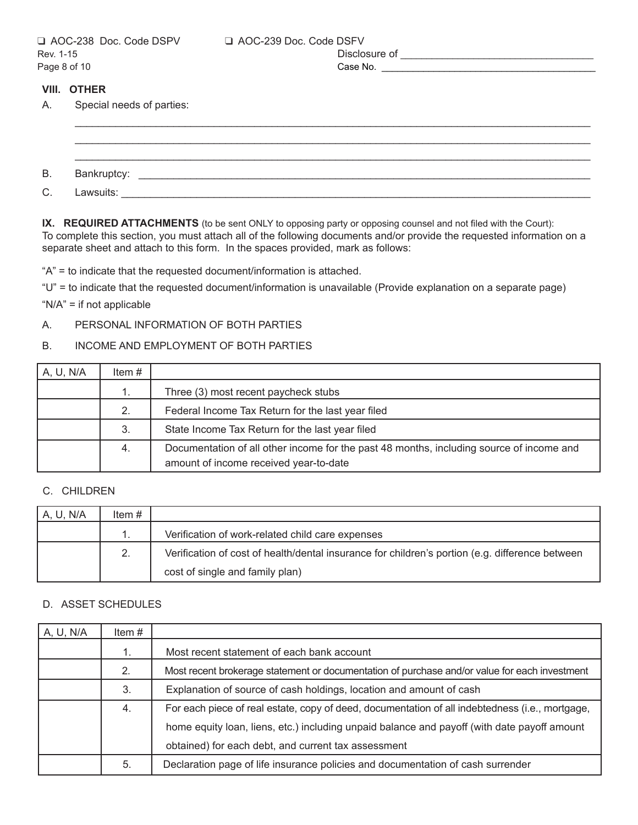#### **VIII. OTHER**

A. Special needs of parties:

B. Bankruptcy: \_\_\_\_\_\_\_\_\_\_\_\_\_\_\_\_\_\_\_\_\_\_\_\_\_\_\_\_\_\_\_\_\_\_\_\_\_\_\_\_\_\_\_\_\_\_\_\_\_\_\_\_\_\_\_\_\_\_\_\_\_\_\_\_\_\_\_\_\_\_\_\_\_\_\_\_\_\_ C. Lawsuits: which is a set of the set of the set of the set of the set of the set of the set of the set of the set of the set of the set of the set of the set of the set of the set of the set of the set of the set of the

\_\_\_\_\_\_\_\_\_\_\_\_\_\_\_\_\_\_\_\_\_\_\_\_\_\_\_\_\_\_\_\_\_\_\_\_\_\_\_\_\_\_\_\_\_\_\_\_\_\_\_\_\_\_\_\_\_\_\_\_\_\_\_\_\_\_\_\_\_\_\_\_\_\_\_\_\_\_\_\_\_\_\_\_\_\_\_\_\_ \_\_\_\_\_\_\_\_\_\_\_\_\_\_\_\_\_\_\_\_\_\_\_\_\_\_\_\_\_\_\_\_\_\_\_\_\_\_\_\_\_\_\_\_\_\_\_\_\_\_\_\_\_\_\_\_\_\_\_\_\_\_\_\_\_\_\_\_\_\_\_\_\_\_\_\_\_\_\_\_\_\_\_\_\_\_\_\_\_ \_\_\_\_\_\_\_\_\_\_\_\_\_\_\_\_\_\_\_\_\_\_\_\_\_\_\_\_\_\_\_\_\_\_\_\_\_\_\_\_\_\_\_\_\_\_\_\_\_\_\_\_\_\_\_\_\_\_\_\_\_\_\_\_\_\_\_\_\_\_\_\_\_\_\_\_\_\_\_\_\_\_\_\_\_\_\_\_\_

**IX. REQUIRED ATTACHMENTS** (to be sent ONLY to opposing party or opposing counsel and not filed with the Court): To complete this section, you must attach all of the following documents and/or provide the requested information on a separate sheet and attach to this form. In the spaces provided, mark as follows:

"A" = to indicate that the requested document/information is attached.

"U" = to indicate that the requested document/information is unavailable (Provide explanation on a separate page)

"N/A" = if not applicable

### A. PERSONAL INFORMATION OF BOTH PARTIES

### B. INCOME AND EMPLOYMENT OF BOTH PARTIES

| A, U, N/A | Item $#$ |                                                                                          |
|-----------|----------|------------------------------------------------------------------------------------------|
|           |          | Three (3) most recent paycheck stubs                                                     |
|           | 2.       | Federal Income Tax Return for the last year filed                                        |
|           | 3.       | State Income Tax Return for the last year filed                                          |
|           | 4.       | Documentation of all other income for the past 48 months, including source of income and |
|           |          | amount of income received year-to-date                                                   |

### C. CHILDREN

| A, U, N/A | Item # |                                                                                                 |
|-----------|--------|-------------------------------------------------------------------------------------------------|
|           |        | Verification of work-related child care expenses                                                |
|           | 2.     | Verification of cost of health/dental insurance for children's portion (e.g. difference between |
|           |        | cost of single and family plan)                                                                 |

### D. ASSET SCHEDULES

| A, U, N/A | Item# |                                                                                                 |
|-----------|-------|-------------------------------------------------------------------------------------------------|
|           | 1.    | Most recent statement of each bank account                                                      |
|           | 2.    | Most recent brokerage statement or documentation of purchase and/or value for each investment   |
|           | 3.    | Explanation of source of cash holdings, location and amount of cash                             |
|           | 4.    | For each piece of real estate, copy of deed, documentation of all indebtedness (i.e., mortgage, |
|           |       | home equity loan, liens, etc.) including unpaid balance and payoff (with date payoff amount     |
|           |       | obtained) for each debt, and current tax assessment                                             |
|           | 5.    | Declaration page of life insurance policies and documentation of cash surrender                 |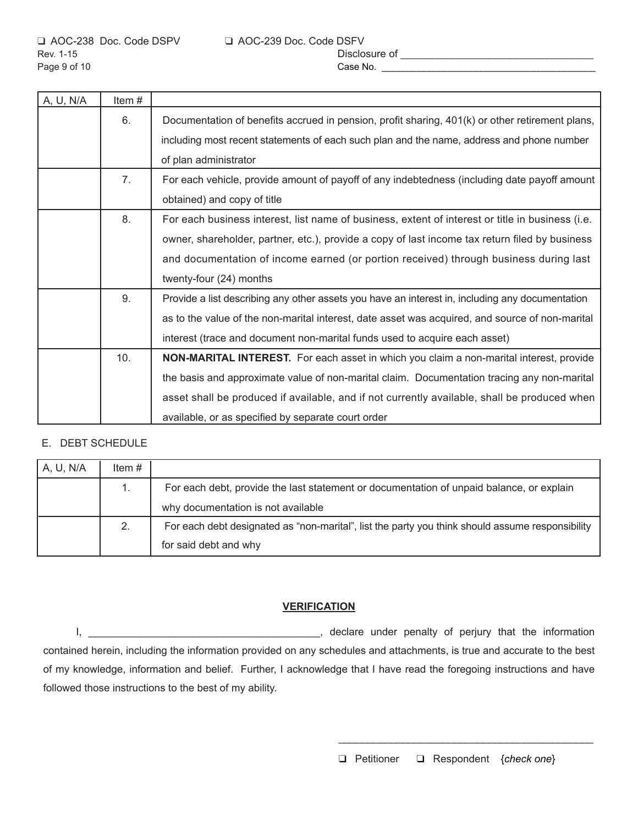| A, U, N/A | Item# |                                                                                                                                                                                              |
|-----------|-------|----------------------------------------------------------------------------------------------------------------------------------------------------------------------------------------------|
|           | 6.    | Documentation of benefits accrued in pension, profit sharing, 401(k) or other retirement plans,<br>including most recent statements of each such plan and the name, address and phone number |
|           |       | of plan administrator                                                                                                                                                                        |
|           | 7.    | For each vehicle, provide amount of payoff of any indebtedness (including date payoff amount                                                                                                 |
|           |       | obtained) and copy of title                                                                                                                                                                  |
|           | 8.    | For each business interest, list name of business, extent of interest or title in business (i.e.                                                                                             |
|           |       | owner, shareholder, partner, etc.), provide a copy of last income tax return filed by business                                                                                               |
|           |       | and documentation of income earned (or portion received) through business during last                                                                                                        |
|           |       | twenty-four (24) months                                                                                                                                                                      |
|           | 9.    | Provide a list describing any other assets you have an interest in, including any documentation                                                                                              |
|           |       | as to the value of the non-marital interest, date asset was acquired, and source of non-marital                                                                                              |
|           |       | interest (trace and document non-marital funds used to acquire each asset)                                                                                                                   |
|           | 10.   | NON-MARITAL INTEREST. For each asset in which you claim a non-marital interest, provide                                                                                                      |
|           |       | the basis and approximate value of non-marital claim. Documentation tracing any non-marital                                                                                                  |
|           |       | asset shall be produced if available, and if not currently available, shall be produced when                                                                                                 |
|           |       | available, or as specified by separate court order                                                                                                                                           |

### E. DEBT SCHEDULE

| A, U, N/A | Item $#$ |                                                                                                  |
|-----------|----------|--------------------------------------------------------------------------------------------------|
|           |          | For each debt, provide the last statement or documentation of unpaid balance, or explain         |
|           |          | why documentation is not available                                                               |
|           | 2.       | For each debt designated as "non-marital", list the party you think should assume responsibility |
|           |          | for said debt and why                                                                            |

### **VERIFICATION**

I, \_\_\_\_\_\_\_\_\_\_\_\_\_\_\_\_\_\_\_\_\_\_\_\_\_\_\_\_\_\_\_\_\_\_\_\_\_\_\_\_, declare under penalty of perjury that the information contained herein, including the information provided on any schedules and attachments, is true and accurate to the best of my knowledge, information and belief. Further, I acknowledge that I have read the foregoing instructions and have followed those instructions to the best of my ability.

 $\overline{\phantom{a}}$  , and the contract of the contract of the contract of the contract of the contract of the contract of the contract of the contract of the contract of the contract of the contract of the contract of the contrac